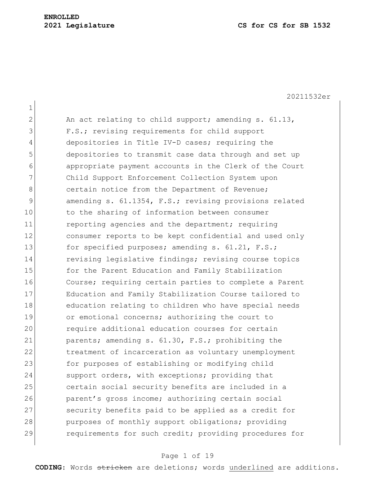1 2 An act relating to child support; amending  $s. 61.13$ , 3 F.S.; revising requirements for child support 4 depositories in Title IV-D cases; requiring the 5 depositories to transmit case data through and set up 6 appropriate payment accounts in the Clerk of the Court 7 Child Support Enforcement Collection System upon 8 certain notice from the Department of Revenue; 9 amending s. 61.1354, F.S.; revising provisions related 10 to the sharing of information between consumer 11 reporting agencies and the department; requiring 12 consumer reports to be kept confidential and used only 13 for specified purposes; amending s. 61.21, F.S.; 14 revising legislative findings; revising course topics 15 for the Parent Education and Family Stabilization 16 Course; requiring certain parties to complete a Parent 17 Education and Family Stabilization Course tailored to 18 education relating to children who have special needs 19 or emotional concerns; authorizing the court to 20 require additional education courses for certain 21 parents; amending s. 61.30, F.S.; prohibiting the 22 treatment of incarceration as voluntary unemployment 23 for purposes of establishing or modifying child 24 support orders, with exceptions; providing that 25 certain social security benefits are included in a 26 parent's gross income; authorizing certain social 27 Security benefits paid to be applied as a credit for 28 purposes of monthly support obligations; providing 29 requirements for such credit; providing procedures for

### Page 1 of 19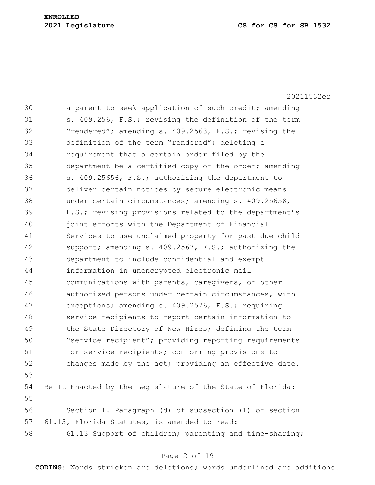|    | 20211532er                                                |
|----|-----------------------------------------------------------|
| 30 | a parent to seek application of such credit; amending     |
| 31 | s. 409.256, F.S.; revising the definition of the term     |
| 32 | "rendered"; amending s. 409.2563, F.S.; revising the      |
| 33 | definition of the term "rendered"; deleting a             |
| 34 | requirement that a certain order filed by the             |
| 35 | department be a certified copy of the order; amending     |
| 36 | s. 409.25656, F.S.; authorizing the department to         |
| 37 | deliver certain notices by secure electronic means        |
| 38 | under certain circumstances; amending s. 409.25658,       |
| 39 | F.S.; revising provisions related to the department's     |
| 40 | joint efforts with the Department of Financial            |
| 41 | Services to use unclaimed property for past due child     |
| 42 | support; amending s. 409.2567, F.S.; authorizing the      |
| 43 | department to include confidential and exempt             |
| 44 | information in unencrypted electronic mail                |
| 45 | communications with parents, caregivers, or other         |
| 46 | authorized persons under certain circumstances, with      |
| 47 | exceptions; amending s. 409.2576, F.S.; requiring         |
| 48 | service recipients to report certain information to       |
| 49 | the State Directory of New Hires; defining the term       |
| 50 | "service recipient"; providing reporting requirements     |
| 51 | for service recipients; conforming provisions to          |
| 52 | changes made by the act; providing an effective date.     |
| 53 |                                                           |
| 54 | Be It Enacted by the Legislature of the State of Florida: |
| 55 |                                                           |
| 56 | Section 1. Paragraph (d) of subsection (1) of section     |
| 57 | 61.13, Florida Statutes, is amended to read:              |
| 58 | 61.13 Support of children; parenting and time-sharing;    |
|    |                                                           |

# Page 2 of 19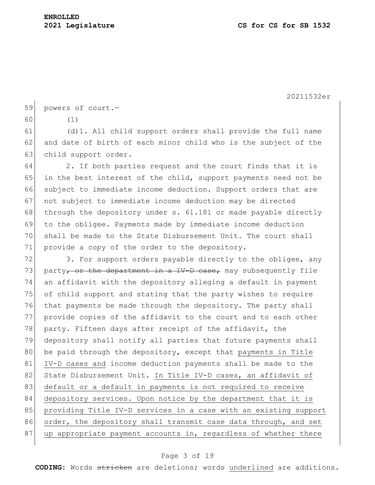59 powers of court.-

60 (1)

61 (d)1. All child support orders shall provide the full name 62 and date of birth of each minor child who is the subject of the 63 child support order.

 2. If both parties request and the court finds that it is in the best interest of the child, support payments need not be 66 subject to immediate income deduction. Support orders that are not subject to immediate income deduction may be directed 68 through the depository under s.  $61.181$  or made payable directly to the obligee. Payments made by immediate income deduction shall be made to the State Disbursement Unit. The court shall 71 provide a copy of the order to the depository.

 $72$  3. For support orders payable directly to the obligee, any 73 party<sub>r</sub> or the department in a IV-D case, may subsequently file 74 an affidavit with the depository alleging a default in payment 75 of child support and stating that the party wishes to require 76 that payments be made through the depository. The party shall 77 provide copies of the affidavit to the court and to each other 78 party. Fifteen days after receipt of the affidavit, the 79 depository shall notify all parties that future payments shall 80 be paid through the depository, except that payments in Title 81 IV-D cases and income deduction payments shall be made to the 82 State Disbursement Unit. In Title IV-D cases, an affidavit of 83 default or a default in payments is not required to receive 84 depository services. Upon notice by the department that it is 85 | providing Title IV-D services in a case with an existing support 86 order, the depository shall transmit case data through, and set 87 up appropriate payment accounts in, regardless of whether there

### Page 3 of 19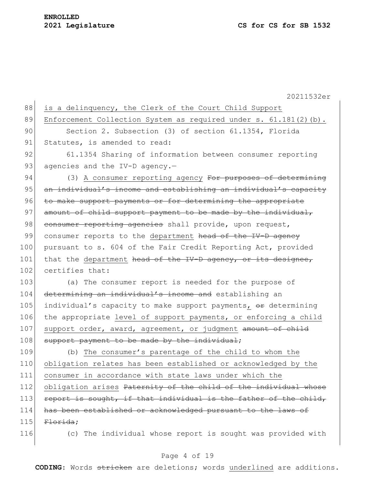20211532er 88 is a delinquency, the Clerk of the Court Child Support 89 Enforcement Collection System as required under s. 61.181(2)(b). 90 Section 2. Subsection (3) of section 61.1354, Florida 91 Statutes, is amended to read: 92 61.1354 Sharing of information between consumer reporting 93 agencies and the IV-D agency.-94 (3) A consumer reporting agency For purposes of determining 95 an individual's income and establishing an individual's capacity 96 to make support payments or for determining the appropriate 97 amount of child support payment to be made by the individual, 98 consumer reporting agencies shall provide, upon request, 99 consumer reports to the department head of the IV-D agency 100 pursuant to s. 604 of the Fair Credit Reporting Act, provided 101 that the department head of the IV-D agency, or its designee, 102 certifies that: 103 (a) The consumer report is needed for the purpose of 104 determining an individual's income and establishing an 105 individual's capacity to make support payments,  $\Theta$ r determining 106 the appropriate level of support payments, or enforcing a child 107 support order, award, agreement, or judgment amount of child 108 support payment to be made by the individual; 109 (b) The consumer's parentage of the child to whom the 110 obligation relates has been established or acknowledged by the 111 consumer in accordance with state laws under which the 112 obligation arises Paternity of the child of the individual whose 113 report is sought, if that individual is the father of the child, 114 has been established or acknowledged pursuant to the laws of  $115$  Florida: 116 (c) The individual whose report is sought was provided with

### Page 4 of 19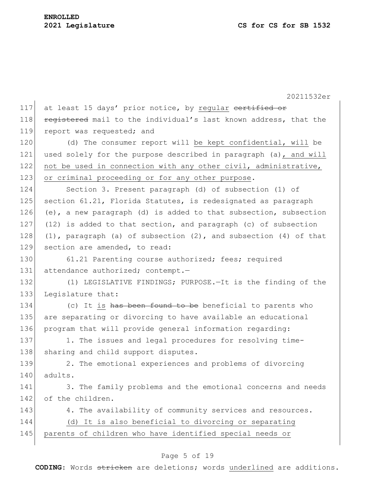20211532er 117 at least 15 days' prior notice, by regular certified or 118 registered mail to the individual's last known address, that the 119 report was requested; and 120 (d) The consumer report will be kept confidential, will be 121 used solely for the purpose described in paragraph (a), and will 122 not be used in connection with any other civil, administrative, 123 or criminal proceeding or for any other purpose. 124 Section 3. Present paragraph (d) of subsection (1) of 125 section 61.21, Florida Statutes, is redesignated as paragraph 126 (e), a new paragraph (d) is added to that subsection, subsection 127 (12) is added to that section, and paragraph (c) of subsection 128 (1), paragraph (a) of subsection  $(2)$ , and subsection  $(4)$  of that 129 section are amended, to read: 130 61.21 Parenting course authorized; fees; required 131 attendance authorized; contempt.-132 (1) LEGISLATIVE FINDINGS; PURPOSE. - It is the finding of the 133 Legislature that: 134 (c) It is has been found to be beneficial to parents who 135 are separating or divorcing to have available an educational 136 program that will provide general information regarding: 137 1. The issues and legal procedures for resolving time-138 sharing and child support disputes. 139 2. The emotional experiences and problems of divorcing  $140$  adults. 141 3. The family problems and the emotional concerns and needs 142 of the children. 143 4. The availability of community services and resources. 144 (d) It is also beneficial to divorcing or separating 145 parents of children who have identified special needs or

# Page 5 of 19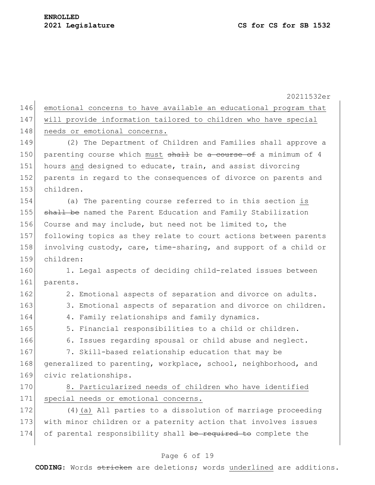20211532er 146 emotional concerns to have available an educational program that 147 will provide information tailored to children who have special 148 needs or emotional concerns. 149 (2) The Department of Children and Families shall approve a 150 parenting course which must shall be a course of a minimum of 4 151 hours and designed to educate, train, and assist divorcing 152 parents in regard to the consequences of divorce on parents and 153 children. 154 (a) The parenting course referred to in this section is 155 shall be named the Parent Education and Family Stabilization 156 Course and may include, but need not be limited to, the 157 following topics as they relate to court actions between parents 158 involving custody, care, time-sharing, and support of a child or 159 children: 160 1. Legal aspects of deciding child-related issues between 161 parents. 162 2. Emotional aspects of separation and divorce on adults. 163 3. Emotional aspects of separation and divorce on children. 164 4. Family relationships and family dynamics. 165 5. Financial responsibilities to a child or children. 166 6. Issues regarding spousal or child abuse and neglect. 167 7. Skill-based relationship education that may be 168 generalized to parenting, workplace, school, neighborhood, and 169 civic relationships. 170 8. Particularized needs of children who have identified 171 special needs or emotional concerns. 172 (4)(a) All parties to a dissolution of marriage proceeding 173 with minor children or a paternity action that involves issues 174 of parental responsibility shall be required to complete the

#### Page 6 of 19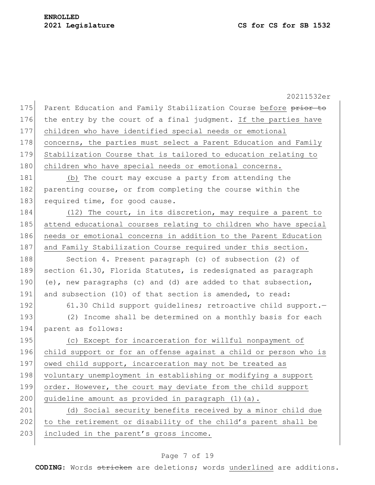20211532er 175 Parent Education and Family Stabilization Course before prior to 176 the entry by the court of a final judgment. If the parties have 177 children who have identified special needs or emotional 178 concerns, the parties must select a Parent Education and Family 179 Stabilization Course that is tailored to education relating to 180 children who have special needs or emotional concerns. 181 (b) The court may excuse a party from attending the 182 parenting course, or from completing the course within the 183 required time, for good cause. 184 (12) The court, in its discretion, may require a parent to 185 attend educational courses relating to children who have special 186 needs or emotional concerns in addition to the Parent Education 187 and Family Stabilization Course required under this section. 188 Section 4. Present paragraph (c) of subsection (2) of 189 section 61.30, Florida Statutes, is redesignated as paragraph 190 (e), new paragraphs (c) and (d) are added to that subsection, 191 and subsection (10) of that section is amended, to read: 192 61.30 Child support guidelines; retroactive child support. 193 (2) Income shall be determined on a monthly basis for each 194 parent as follows: 195 (c) Except for incarceration for willful nonpayment of 196 child support or for an offense against a child or person who is 197 owed child support, incarceration may not be treated as 198 voluntary unemployment in establishing or modifying a support 199 order. However, the court may deviate from the child support 200 quideline amount as provided in paragraph  $(1)(a)$ . 201 (d) Social security benefits received by a minor child due 202 to the retirement or disability of the child's parent shall be 203 included in the parent's gross income.

# Page 7 of 19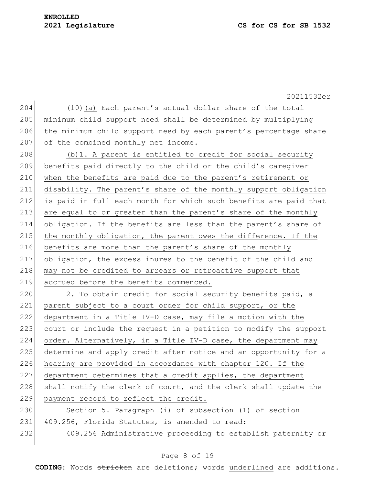204 (10)(a) Each parent's actual dollar share of the total 205 minimum child support need shall be determined by multiplying 206 the minimum child support need by each parent's percentage share 207 of the combined monthly net income.

208  $\vert$  (b) 1. A parent is entitled to credit for social security 209 benefits paid directly to the child or the child's caregiver 210 when the benefits are paid due to the parent's retirement or 211 disability. The parent's share of the monthly support obligation 212 is paid in full each month for which such benefits are paid that 213 are equal to or greater than the parent's share of the monthly 214 obligation. If the benefits are less than the parent's share of 215 the monthly obligation, the parent owes the difference. If the 216 benefits are more than the parent's share of the monthly 217 obligation, the excess inures to the benefit of the child and 218 may not be credited to arrears or retroactive support that 219 accrued before the benefits commenced.

 $220$  2. To obtain credit for social security benefits paid, a 221 parent subject to a court order for child support, or the 222 department in a Title IV-D case, may file a motion with the 223 court or include the request in a petition to modify the support 224 order. Alternatively, in a Title IV-D case, the department may 225 determine and apply credit after notice and an opportunity for a 226 hearing are provided in accordance with chapter 120. If the 227 department determines that a credit applies, the department 228 shall notify the clerk of court, and the clerk shall update the 229 payment record to reflect the credit.

230 Section 5. Paragraph (i) of subsection (1) of section 231 409.256, Florida Statutes, is amended to read: 232 409.256 Administrative proceeding to establish paternity or

### Page 8 of 19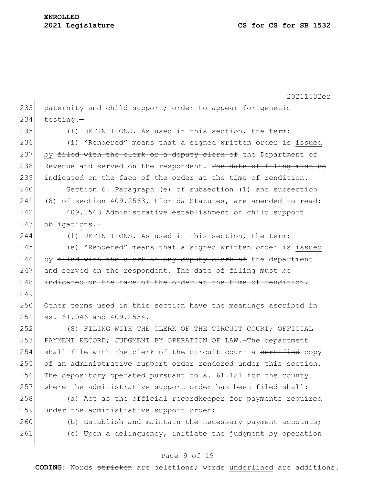20211532er 233 paternity and child support; order to appear for genetic  $234$  testing.-235 (1) DEFINITIONS.—As used in this section, the term: 236 (i) "Rendered" means that a signed written order is issued 237 by filed with the clerk or a deputy clerk of the Department of 238 Revenue and served on the respondent. The date of filing must be 239 indicated on the face of the order at the time of rendition. 240 Section 6. Paragraph (e) of subsection (1) and subsection 241 (8) of section 409.2563, Florida Statutes, are amended to read: 242 409.2563 Administrative establishment of child support 243 obligations.-244 (1) DEFINITIONS.—As used in this section, the term: 245 (e) "Rendered" means that a signed written order is issued 246 by filed with the clerk or any deputy clerk of the department  $247$  and served on the respondent. The date of filing must be 248 indicated on the face of the order at the time of rendition. 249 250 Other terms used in this section have the meanings ascribed in 251 ss. 61.046 and 409.2554. 252 (8) FILING WITH THE CLERK OF THE CIRCUIT COURT; OFFICIAL 253 PAYMENT RECORD; JUDGMENT BY OPERATION OF LAW. The department 254 shall file with the clerk of the circuit court a certified copy 255 of an administrative support order rendered under this section. 256 The depository operated pursuant to  $s. 61.181$  for the county 257 where the administrative support order has been filed shall: 258 (a) Act as the official recordkeeper for payments required 259 under the administrative support order; 260 (b) Establish and maintain the necessary payment accounts; 261 (c) Upon a delinquency, initiate the judgment by operation

# Page 9 of 19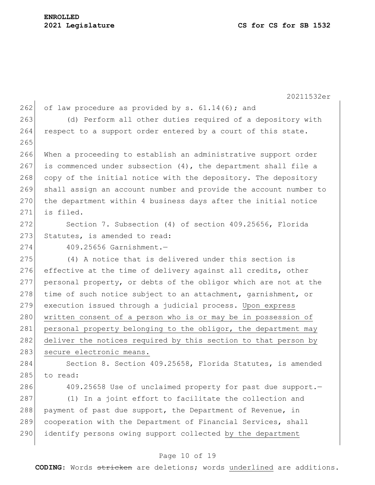20211532er 262 of law procedure as provided by s.  $61.14(6)$ ; and 263 (d) Perform all other duties required of a depository with 264 respect to a support order entered by a court of this state. 265 266 When a proceeding to establish an administrative support order 267 is commenced under subsection  $(4)$ , the department shall file a 268 copy of the initial notice with the depository. The depository 269 shall assign an account number and provide the account number to 270 the department within 4 business days after the initial notice 271 is filed. 272 Section 7. Subsection (4) of section 409.25656, Florida 273 Statutes, is amended to read: 274 409.25656 Garnishment.— 275 (4) A notice that is delivered under this section is 276 effective at the time of delivery against all credits, other 277 personal property, or debts of the obligor which are not at the 278 time of such notice subject to an attachment, garnishment, or 279 execution issued through a judicial process. Upon express 280 written consent of a person who is or may be in possession of 281 personal property belonging to the obligor, the department may 282 deliver the notices required by this section to that person by

283 secure electronic means.

284 Section 8. Section 409.25658, Florida Statutes, is amended  $285$  to read:

286 409.25658 Use of unclaimed property for past due support.

287 (1) In a joint effort to facilitate the collection and 288 payment of past due support, the Department of Revenue, in 289 cooperation with the Department of Financial Services, shall 290 identify persons owing support collected by the department

#### Page 10 of 19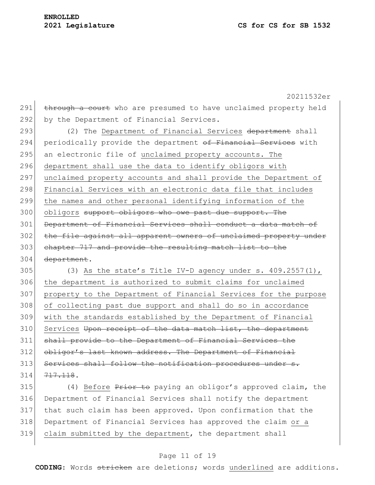20211532er 291 through a court who are presumed to have unclaimed property held 292 by the Department of Financial Services. 293 (2) The Department of Financial Services department shall 294 periodically provide the department of Financial Services with 295 an electronic file of unclaimed property accounts. The 296 department shall use the data to identify obligors with 297 unclaimed property accounts and shall provide the Department of 298 Financial Services with an electronic data file that includes 299 the names and other personal identifying information of the 300 obligors support obligors who owe past due support. The 301 Department of Financial Services shall conduct a data match of 302 the file against all apparent owners of unclaimed property under 303 chapter 717 and provide the resulting match list to the 304 department. 305 (3) As the state's Title IV-D agency under s.  $409.2557(1)$ , 306 the department is authorized to submit claims for unclaimed 307 property to the Department of Financial Services for the purpose 308 of collecting past due support and shall do so in accordance 309 with the standards established by the Department of Financial 310 Services Upon receipt of the data match list, the department

311 shall provide to the Department of Financial Services the 312 obligor's last known address. The Department of Financial 313 Services shall follow the notification procedures under s. 314 717.118.

315 (4) Before Prior to paying an obligor's approved claim, the Department of Financial Services shall notify the department that such claim has been approved. Upon confirmation that the Department of Financial Services has approved the claim or a claim submitted by the department, the department shall

# Page 11 of 19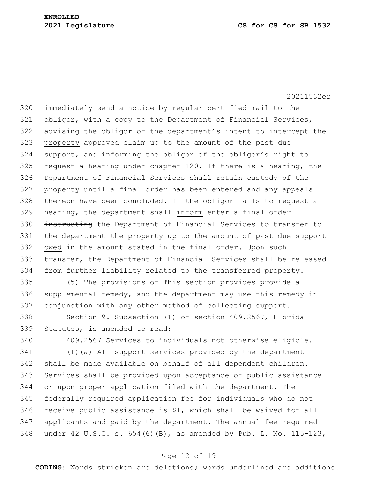320 immediately send a notice by regular certified mail to the 321 obligor<del>, with a copy to the Department of Financial Services,</del> 322 advising the obligor of the department's intent to intercept the 323 property approved claim up to the amount of the past due 324 support, and informing the obligor of the obligor's right to  $325$  request a hearing under chapter 120. If there is a hearing, the 326 Department of Financial Services shall retain custody of the 327 property until a final order has been entered and any appeals 328 thereon have been concluded. If the obligor fails to request a  $329$  hearing, the department shall inform enter a final order 330 instructing the Department of Financial Services to transfer to 331 the department the property up to the amount of past due support 332 owed in the amount stated in the final order. Upon such 333 transfer, the Department of Financial Services shall be released 334 from further liability related to the transferred property.

335 (5) The provisions of This section provides provide a 336 supplemental remedy, and the department may use this remedy in 337 conjunction with any other method of collecting support.

338 Section 9. Subsection (1) of section 409.2567, Florida 339 Statutes, is amended to read:

340 409.2567 Services to individuals not otherwise eligible.- (1)(a) All support services provided by the department 342 shall be made available on behalf of all dependent children. Services shall be provided upon acceptance of public assistance or upon proper application filed with the department. The federally required application fee for individuals who do not receive public assistance is \$1, which shall be waived for all applicants and paid by the department. The annual fee required 348 under 42 U.S.C. s.  $654(6)$  (B), as amended by Pub. L. No. 115-123,

# Page 12 of 19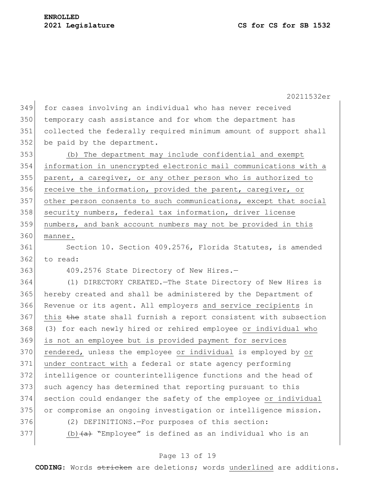349 for cases involving an individual who has never received 350 temporary cash assistance and for whom the department has 351 collected the federally required minimum amount of support shall 352 be paid by the department.

 (b) The department may include confidential and exempt information in unencrypted electronic mail communications with a parent, a caregiver, or any other person who is authorized to 356 receive the information, provided the parent, caregiver, or other person consents to such communications, except that social 358 security numbers, federal tax information, driver license numbers, and bank account numbers may not be provided in this 360 manner.

361 Section 10. Section 409.2576, Florida Statutes, is amended 362 to read:

363 409.2576 State Directory of New Hires.-

 (1) DIRECTORY CREATED.—The State Directory of New Hires is hereby created and shall be administered by the Department of Revenue or its agent. All employers and service recipients in 367 this the state shall furnish a report consistent with subsection (3) for each newly hired or rehired employee or individual who is not an employee but is provided payment for services 370 rendered, unless the employee or individual is employed by or under contract with a federal or state agency performing intelligence or counterintelligence functions and the head of 373 such agency has determined that reporting pursuant to this section could endanger the safety of the employee or individual or compromise an ongoing investigation or intelligence mission. (2) DEFINITIONS.—For purposes of this section: 377 (b)  $(a)$  "Employee" is defined as an individual who is an

#### Page 13 of 19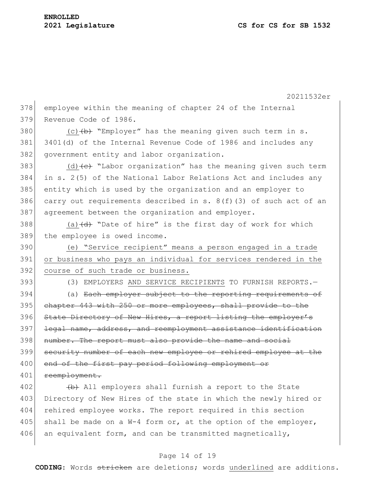20211532er 378 employee within the meaning of chapter 24 of the Internal 379 Revenue Code of 1986. 380 (c)  $(b)$  "Employer" has the meaning given such term in s. 381 3401(d) of the Internal Revenue Code of 1986 and includes any 382 government entity and labor organization. 383 (d)  $\left\{ \left( e \right)$  "Labor organization" has the meaning given such term 384 in s. 2(5) of the National Labor Relations Act and includes any 385 entity which is used by the organization and an employer to 386 carry out requirements described in s.  $8(f)(3)$  of such act of an 387 agreement between the organization and employer. 388 (a)  $\left(\frac{d}{dt}\right)$  "Date of hire" is the first day of work for which 389 the employee is owed income. 390 (e) "Service recipient" means a person engaged in a trade 391 or business who pays an individual for services rendered in the 392 course of such trade or business. 393 (3) EMPLOYERS AND SERVICE RECIPIENTS TO FURNISH REPORTS. 394 (a) Each employer subject to the reporting requirements of 395 chapter 443 with 250 or more employees, shall provide to the 396 State Directory of New Hires, a report listing the employer's 397 legal name, address, and reemployment assistance identification 398 number. The report must also provide the name and social 399 security number of each new employee or rehired employee at the 400 end of the first pay period following employment or 401 reemployment.  $402$  (b) All employers shall furnish a report to the State 403 Directory of New Hires of the state in which the newly hired or 404 rehired employee works. The report required in this section 405 shall be made on a  $W-4$  form or, at the option of the employer, 406 an equivalent form, and can be transmitted magnetically,

# Page 14 of 19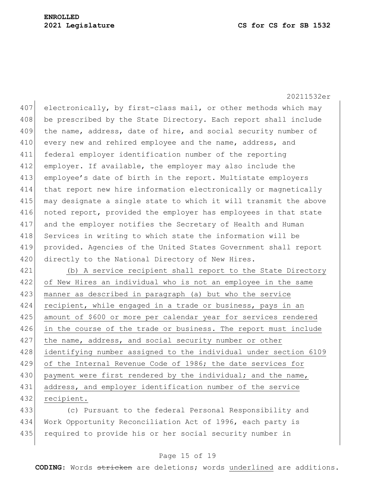407 electronically, by first-class mail, or other methods which may 408 be prescribed by the State Directory. Each report shall include 409 the name, address, date of hire, and social security number of 410 every new and rehired employee and the name, address, and 411 federal employer identification number of the reporting 412 employer. If available, the employer may also include the 413 employee's date of birth in the report. Multistate employers 414 that report new hire information electronically or magnetically 415 may designate a single state to which it will transmit the above 416 noted report, provided the employer has employees in that state 417 and the employer notifies the Secretary of Health and Human 418 Services in writing to which state the information will be 419 provided. Agencies of the United States Government shall report 420 directly to the National Directory of New Hires.

421 (b) A service recipient shall report to the State Directory 422 of New Hires an individual who is not an employee in the same 423 manner as described in paragraph (a) but who the service 424 recipient, while engaged in a trade or business, pays in an 425 amount of \$600 or more per calendar year for services rendered 426 in the course of the trade or business. The report must include 427 the name, address, and social security number or other 428 identifying number assigned to the individual under section 6109 429 of the Internal Revenue Code of 1986; the date services for 430 payment were first rendered by the individual; and the name, 431 address, and employer identification number of the service 432 recipient.

433 (c) Pursuant to the federal Personal Responsibility and 434 Work Opportunity Reconciliation Act of 1996, each party is 435 required to provide his or her social security number in

#### Page 15 of 19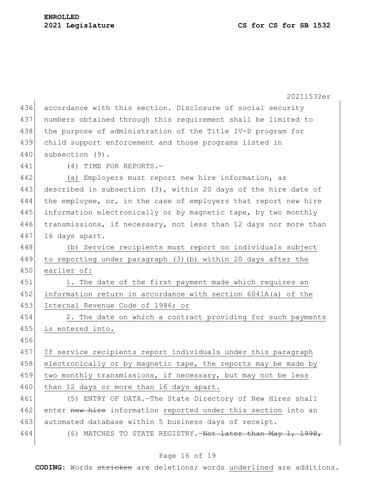|     | 20211532er                                                         |
|-----|--------------------------------------------------------------------|
| 436 | accordance with this section. Disclosure of social security        |
| 437 | numbers obtained through this requirement shall be limited to      |
| 438 | the purpose of administration of the Title IV-D program for        |
| 439 | child support enforcement and those programs listed in             |
| 440 | subsection (9).                                                    |
| 441 | (4) TIME FOR REPORTS.-                                             |
| 442 | (a) Employers must report new hire information, as                 |
| 443 | described in subsection $(3)$ , within 20 days of the hire date of |
| 444 | the employee, or, in the case of employers that report new hire    |
| 445 | information electronically or by magnetic tape, by two monthly     |
| 446 | transmissions, if necessary, not less than 12 days nor more than   |
| 447 | 16 days apart.                                                     |
| 448 | (b) Service recipients must report on individuals subject          |
| 449 | to reporting under paragraph (3) (b) within 20 days after the      |
| 450 | earlier of:                                                        |
| 451 | 1. The date of the first payment made which requires an            |
| 452 | information return in accordance with section 6041A(a) of the      |
| 453 | Internal Revenue Code of 1986; or                                  |
| 454 | 2. The date on which a contract providing for such payments        |
| 455 | is entered into.                                                   |
| 456 |                                                                    |
| 457 | If service recipients report individuals under this paragraph      |
| 458 | electronically or by magnetic tape, the reports may be made by     |
| 459 | two monthly transmissions, if necessary, but may not be less       |
| 460 | than 12 days or more than 16 days apart.                           |
| 461 | (5) ENTRY OF DATA. - The State Directory of New Hires shall        |
| 462 | enter new hire information reported under this section into an     |
| 463 | automated database within 5 business days of receipt.              |
| 464 | (6) MATCHES TO STATE REGISTRY. Hot later than May 1, 1998,         |

# Page 16 of 19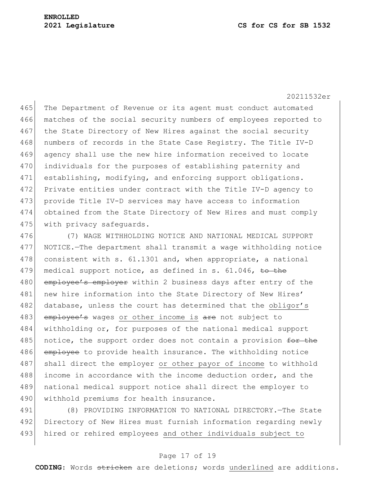465 The Department of Revenue or its agent must conduct automated 466 matches of the social security numbers of employees reported to 467 the State Directory of New Hires against the social security 468 numbers of records in the State Case Registry. The Title IV-D 469 agency shall use the new hire information received to locate 470 individuals for the purposes of establishing paternity and 471 establishing, modifying, and enforcing support obligations. 472 Private entities under contract with the Title IV-D agency to 473 provide Title IV-D services may have access to information 474 obtained from the State Directory of New Hires and must comply 475 with privacy safequards.

476 (7) WAGE WITHHOLDING NOTICE AND NATIONAL MEDICAL SUPPORT 477 NOTICE.—The department shall transmit a wage withholding notice 478 consistent with s. 61.1301 and, when appropriate, a national 479 medical support notice, as defined in s. 61.046, to the 480 employee's employer within 2 business days after entry of the 481 new hire information into the State Directory of New Hires' 482 database, unless the court has determined that the obligor's 483 employee's wages or other income is are not subject to 484 withholding or, for purposes of the national medical support 485 notice, the support order does not contain a provision for the 486 employee to provide health insurance. The withholding notice 487 shall direct the employer or other payor of income to withhold 488 income in accordance with the income deduction order, and the 489 national medical support notice shall direct the employer to 490 | withhold premiums for health insurance.

491 (8) PROVIDING INFORMATION TO NATIONAL DIRECTORY.—The State 492 Directory of New Hires must furnish information regarding newly 493 hired or rehired employees and other individuals subject to

#### Page 17 of 19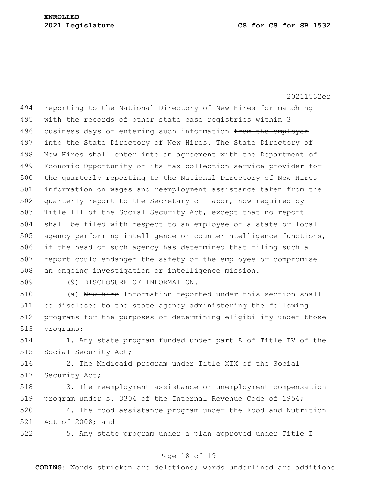494 reporting to the National Directory of New Hires for matching 495 with the records of other state case registries within 3 496 business days of entering such information from the employer 497 into the State Directory of New Hires. The State Directory of 498 New Hires shall enter into an agreement with the Department of 499 Economic Opportunity or its tax collection service provider for 500 the quarterly reporting to the National Directory of New Hires 501 information on wages and reemployment assistance taken from the 502 quarterly report to the Secretary of Labor, now required by 503 Title III of the Social Security Act, except that no report 504 shall be filed with respect to an employee of a state or local 505 agency performing intelligence or counterintelligence functions, 506 if the head of such agency has determined that filing such a 507 report could endanger the safety of the employee or compromise 508 an ongoing investigation or intelligence mission.

509 (9) DISCLOSURE OF INFORMATION.—

510 (a) New hire Information reported under this section shall be disclosed to the state agency administering the following programs for the purposes of determining eligibility under those programs:

514 1. Any state program funded under part A of Title IV of the 515 Social Security Act;

516 2. The Medicaid program under Title XIX of the Social 517 Security Act;

518 3. The reemployment assistance or unemployment compensation 519 program under s. 3304 of the Internal Revenue Code of 1954;

520 4. The food assistance program under the Food and Nutrition 521 Act of 2008; and

522 5. Any state program under a plan approved under Title I

# Page 18 of 19